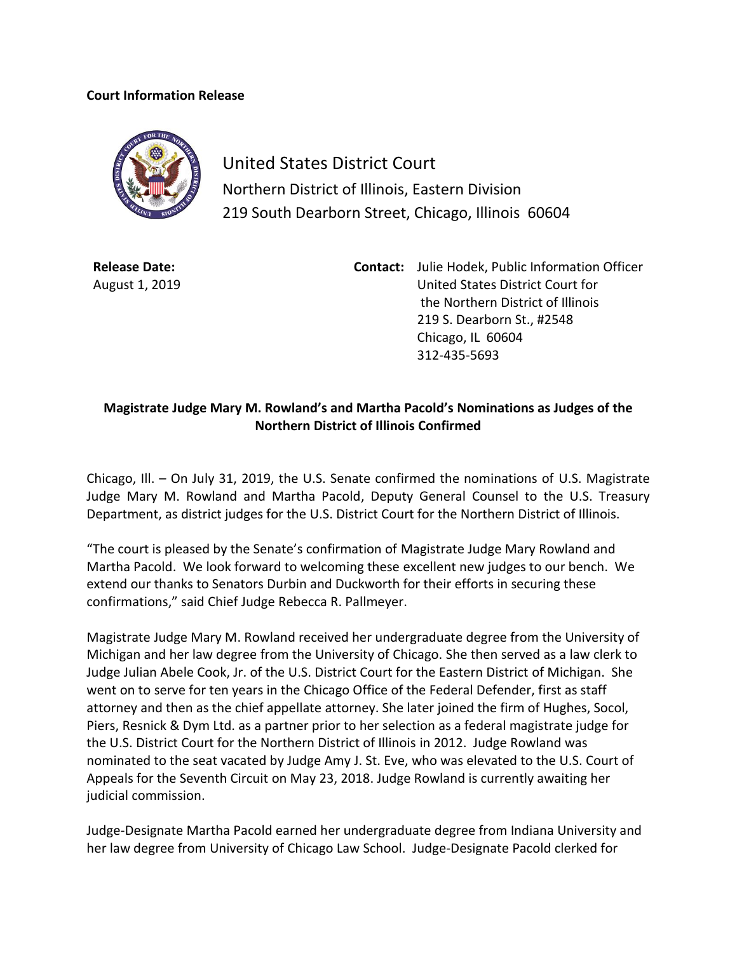## **Court Information Release**



United States District Court Northern District of Illinois, Eastern Division 219 South Dearborn Street, Chicago, Illinois 60604

**Release Date:** August 1, 2019 **Contact:** Julie Hodek, Public Information Officer United States District Court for the Northern District of Illinois 219 S. Dearborn St., #2548 Chicago, IL 60604 312-435-5693

## **Magistrate Judge Mary M. Rowland's and Martha Pacold's Nominations as Judges of the Northern District of Illinois Confirmed**

Chicago, Ill. – On July 31, 2019, the U.S. Senate confirmed the nominations of U.S. Magistrate Judge Mary M. Rowland and Martha Pacold, Deputy General Counsel to the U.S. Treasury Department, as district judges for the U.S. District Court for the Northern District of Illinois.

"The court is pleased by the Senate's confirmation of Magistrate Judge Mary Rowland and Martha Pacold. We look forward to welcoming these excellent new judges to our bench. We extend our thanks to Senators Durbin and Duckworth for their efforts in securing these confirmations," said Chief Judge Rebecca R. Pallmeyer.

Magistrate Judge Mary M. Rowland received her undergraduate degree from the University of Michigan and her law degree from the University of Chicago. She then served as a law clerk to Judge Julian Abele Cook, Jr. of the U.S. District Court for the Eastern District of Michigan. She went on to serve for ten years in the Chicago Office of the Federal Defender, first as staff attorney and then as the chief appellate attorney. She later joined the firm of Hughes, Socol, Piers, Resnick & Dym Ltd. as a partner prior to her selection as a federal magistrate judge for the U.S. District Court for the Northern District of Illinois in 2012. Judge Rowland was nominated to the seat vacated by Judge [Amy J. St. Eve,](https://en.wikipedia.org/wiki/Amy_J._St._Eve) who was elevated to the [U.S. Court of](https://en.wikipedia.org/wiki/United_States_Court_of_Appeals_for_the_Seventh_Circuit)  [Appeals for the Seventh Circuit](https://en.wikipedia.org/wiki/United_States_Court_of_Appeals_for_the_Seventh_Circuit) on May 23, 2018. Judge Rowland is currently awaiting her judicial commission.

Judge-Designate Martha Pacold earned her undergraduate degree from Indiana University and her law degree from University of Chicago Law School. Judge-Designate Pacold clerked for